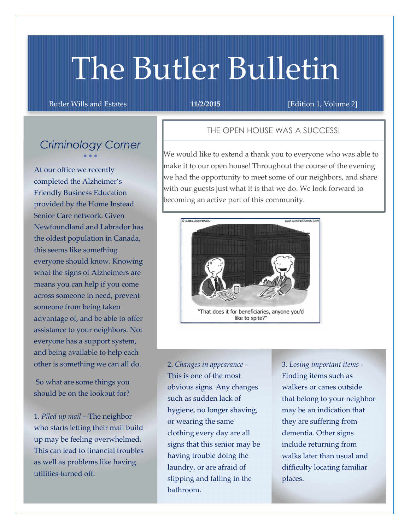# The Butler Bulletin

Butler Wills and Estates **11/2/2015 11/2/2015 [Edition 1, Volume 2]** 

## *Criminology Corner*  $\bullet$   $\bullet$   $\bullet$

At our office we recently completed the Alzheimer's Friendly Business Education provided by the Home Instead Senior Care network. Given Newfoundland and Labrador has the oldest population in Canada, this seems like something everyone should know. Knowing what the signs of Alzheimers are means you can help if you come across someone in need, prevent someone from being taken advantage of, and be able to offer assistance to your neighbors. Not everyone has a support system, and being available to help each other is something we can all do.

So what are some things you should be on the lookout for?

1. *Piled up mail* – The neighbor who starts letting their mail build up may be feeling overwhelmed. This can lead to financial troubles as well as problems like having utilities turned off.

### THE OPEN HOUSE WAS A SUCCESS!

We would like to extend a thank you to everyone who was able to make it to our open house! Throughout the course of the evening we had the opportunity to meet some of our neighbors, and share with our guests just what it is that we do. We look forward to becoming an active part of this community.



2. *Changes in appearance* – This is one of the most obvious signs. Any changes such as sudden lack of hygiene, no longer shaving, or wearing the same clothing every day are all signs that this senior may be having trouble doing the laundry, or are afraid of slipping and falling in the bathroom.

3. *Losing important items* - Finding items such as walkers or canes outside that belong to your neighbor may be an indication that they are suffering from dementia. Other signs include returning from walks later than usual and difficulty locating familiar places.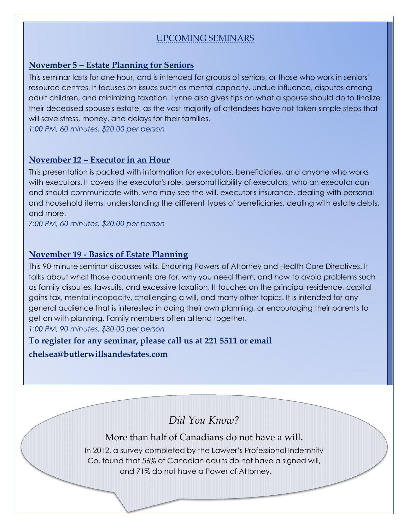# UPCOMING SEMINARS

## November 5 – Estate Planning for Seniors

This seminar lasts for one hour, and is intended for groups of seniors, or those who work in seniors' resource centres. It focuses on issues such as mental capacity, undue influence, disputes among adult children, and minimizing taxation. Lynne also gives tips on what a spouse should do to finalize their deceased spouse's estate, as the vast majority of attendees have not taken simple steps that will save stress, money, and delays for their families.

*1:00 PM, 60 minutes, \$20.00 per person*

## November 12 – Executor in an Hour

This presentation is packed with information for executors, beneficiaries, and anyone who works with executors. It covers the executor's role, personal liability of executors, who an executor can and should communicate with, who may see the will, executor's insurance, dealing with personal and household items, understanding the different types of beneficiaries, dealing with estate debts, and more.

*7:00 PM, 60 minutes, \$20.00 per person*

## November 19 - Basics of Estate Planning

This 90-minute seminar discusses wills, Enduring Powers of Attorney and Health Care Directives. It talks about what those documents are for, why you need them, and how to avoid problems such as family disputes, lawsuits, and excessive taxation. It touches on the principal residence, capital gains tax, mental incapacity, challenging a will, and many other topics. It is intended for any general audience that is interested in doing their own planning, or encouraging their parents to get on with planning. Family members often attend together. *1:00 PM, 90 minutes, \$30.00 per person*

To register for any seminar, please call us at 221 5511 or email chelsea@butlerwillsandestates.com

*Did You Know?*

## More than half of Canadians do not have a will.

In 2012, a survey completed by the Lawyer's Professional Indemnity Co. found that 56% of Canadian adults do not have a signed will, and 71% do not have a Power of Attorney.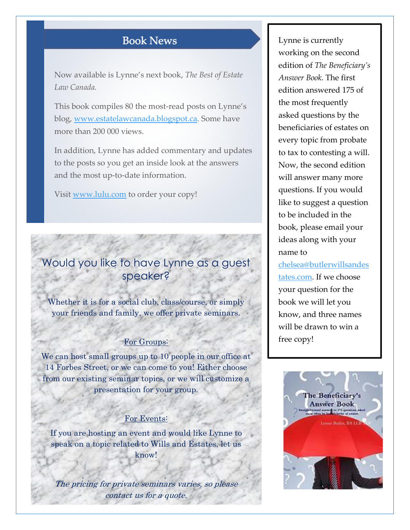# **Book News**

Now available is Lynne's next book, *The Best of Estate Law Canada.*

This book compiles 80 the most-read posts on Lynne's blog, www.estatelawcanada.blogspot.ca. Some have more than 200 000 views.

In addition, Lynne has added commentary and updates to the posts so you get an inside look at the answers and the most up-to-date information.

Visit www.lulu.com to order your copy!

# Would you like to have Lynne as a guest speaker?

Whether it is for a social club, class/course, or simply your friends and family, we offer private seminars.

#### For Groups:

We can host small groups up to 10 people in our office at 14 Forbes Street, or we can come to you! Either choose from our existing seminar topics, or we will customize a presentation for your group.

#### For Events:

If you are hosting an event and would like Lynne to speak on a topic related to Wills and Estates, let us know!

The pricing for private seminars varies, so please contact us for a quote.

Lynne is currently working on the second edition of *The Beneficiary's Answer Book.* The first edition answered 175 of the most frequently asked questions by the beneficiaries of estates on every topic from probate to tax to contesting a will. Now, the second edition will answer many more questions. If you would like to suggest a question to be included in the book, please email your ideas along with your name to

chelsea@butlerwillsandes tates.com. If we choose your question for the book we will let you know, and three names will be drawn to win a free copy!